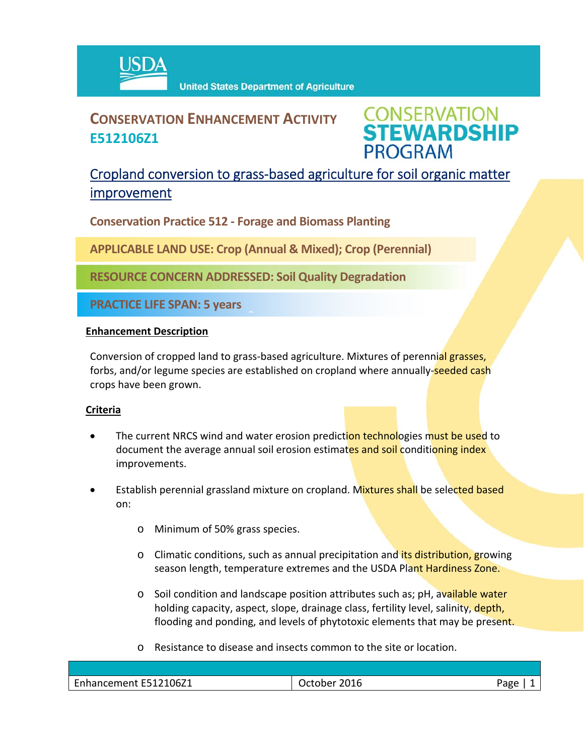

# **CONSERVATION ENHANCEMENT ACTIVITY E512106Z1**



## Cropland conversion to grass‐based agriculture for soil organic matter improvement

**Conservation Practice 512 ‐ Forage and Biomass Planting**

**APPLICABLE LAND USE: Crop (Annual & Mixed); Crop (Perennial)**

**RESOURCE CONCERN ADDRESSED: Soil Quality Degradation** 

 $\hat{a}$ 

**PRACTICE LIFE SPAN: 5 years**

#### **Enhancement Description**

Conversion of cropped land to grass-based agriculture. Mixtures of perennial grasses, forbs, and/or legume species are established on cropland where annually-seeded cash crops have been grown.

## **Criteria**

- The current NRCS wind and water erosion prediction technologies must be used to document the average annual soil erosion estimates and soil conditioning index improvements.
- Establish perennial grassland mixture on cropland. Mixtures shall be selected based on:
	- o Minimum of 50% grass species.
	- o Climatic conditions, such as annual precipitation and its distribution, growing season length, temperature extremes and the USDA Plant Hardiness Zone.
	- o Soil condition and landscape position attributes such as; pH, available water holding capacity, aspect, slope, drainage class, fertility level, salinity, depth, flooding and ponding, and levels of phytotoxic elements that may be present.
	- o Resistance to disease and insects common to the site or location.

| $\sim$<br>512106Z1<br>.<br>Frinancement | 201C<br>wu y<br>н<br>___ | 'age |
|-----------------------------------------|--------------------------|------|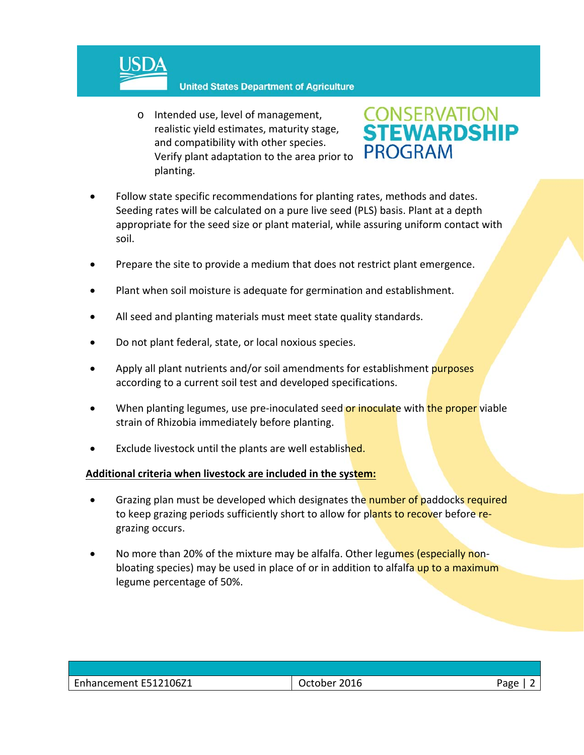

#### **United States Department of Agriculture**

o Intended use, level of management, realistic yield estimates, maturity stage, and compatibility with other species. Verify plant adaptation to the area prior to planting.



- Follow state specific recommendations for planting rates, methods and dates. Seeding rates will be calculated on a pure live seed (PLS) basis. Plant at a depth appropriate for the seed size or plant material, while assuring uniform contact with soil.
- Prepare the site to provide a medium that does not restrict plant emergence.
- Plant when soil moisture is adequate for germination and establishment.
- All seed and planting materials must meet state quality standards.
- Do not plant federal, state, or local noxious species.
- Apply all plant nutrients and/or soil amendments for establishment purposes according to a current soil test and developed specifications.
- When planting legumes, use pre-inoculated seed or inoculate with the proper viable strain of Rhizobia immediately before planting.
- Exclude livestock until the plants are well established.

## **Additional criteria when livestock are included in the system:**

- Grazing plan must be developed which designates the number of paddocks required to keep grazing periods sufficiently short to allow for plants to recover before regrazing occurs.
- No more than 20% of the mixture may be alfalfa. Other legumes (especially nonbloating species) may be used in place of or in addition to alfalfa up to a maximum legume percentage of 50%.

| $\sim$<br>ᄃᇰᅛ |                     |                   |      |
|---------------|---------------------|-------------------|------|
| ັດ            | hancement E512106Z1 | 2016<br>Jctober - | Pago |